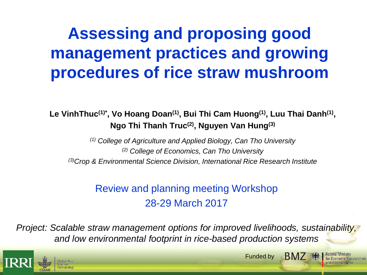# **Assessing and proposing good management practices and growing procedures of rice straw mushroom**

**Le VinhThuc(1)\*, Vo Hoang Doan(1), Bui Thi Cam Huong(1) , Luu Thai Danh(1) , Ngo Thi Thanh Truc(2), Nguyen Van Hung(3)**

*(1) College of Agriculture and Applied Biology, Can Tho University (2) College of Economics, Can Tho University (3)Crop & Environmental Science Division, International Rice Research Institute*

#### Review and planning meeting Workshop 28-29 March 2017

*Project: Scalable straw management options for improved livelihoods, sustainability, and low environmental footprint in rice-based production systems*



**BM7 殊** Funded by

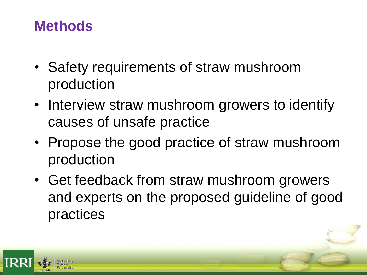## **Methods**

- Safety requirements of straw mushroom production
- Interview straw mushroom growers to identify causes of unsafe practice
- Propose the good practice of straw mushroom production
- Get feedback from straw mushroom growers and experts on the proposed guideline of good practices

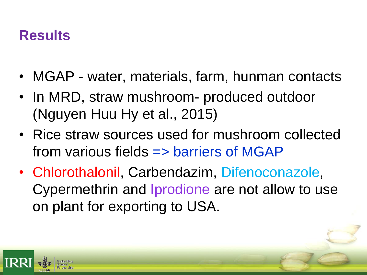## **Results**

- MGAP water, materials, farm, hunman contacts
- In MRD, straw mushroom- produced outdoor (Nguyen Huu Hy et al., 2015)
- Rice straw sources used for mushroom collected from various fields => barriers of MGAP
- Chlorothalonil, Carbendazim, Difenoconazole, Cypermethrin and Iprodione are not allow to use on plant for exporting to USA.

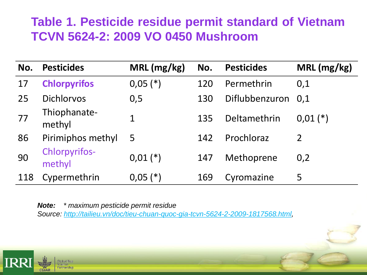### **Table 1. Pesticide residue permit standard of Vietnam TCVN 5624-2: 2009 VO 0450 Mushroom**

| No. | <b>Pesticides</b>              | MRL (mg/kg)  | No. | <b>Pesticides</b>  | MRL (mg/kg)  |
|-----|--------------------------------|--------------|-----|--------------------|--------------|
| 17  | <b>Chlorpyrifos</b>            | $0,05$ (*)   | 120 | Permethrin         | 0,1          |
| 25  | <b>Dichlorvos</b>              | 0,5          | 130 | Diflubbenzuron 0,1 |              |
| 77  | Thiophanate-<br>methyl         | 1            | 135 | Deltamethrin       | $0.01$ $(*)$ |
| 86  | Pirimiphos methyl              | 5            | 142 | Prochloraz         | 2            |
| 90  | <b>Chlorpyrifos-</b><br>methyl | $0,01$ $(*)$ | 147 | Methoprene         | 0,2          |
| 118 | Cypermethrin                   | $0,05$ (*)   | 169 | Cyromazine         | 5            |

*Note: \* maximum pesticide permit residue Source: [http://tailieu.vn/doc/tieu-chuan-quoc-gia-tcvn-5624-2-2009-1817568.html,](http://tailieu.vn/doc/tieu-chuan-quoc-gia-tcvn-5624-2-2009-1817568.html)*

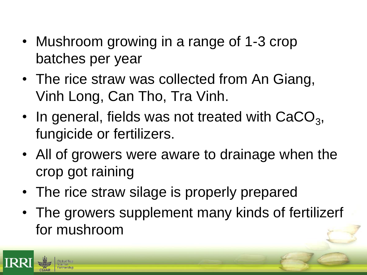- Mushroom growing in a range of 1-3 crop batches per year
- The rice straw was collected from An Giang, Vinh Long, Can Tho, Tra Vinh.
- In general, fields was not treated with  $CaCO<sub>3</sub>$ , fungicide or fertilizers.
- All of growers were aware to drainage when the crop got raining
- The rice straw silage is properly prepared
- The growers supplement many kinds of fertilizerf for mushroom

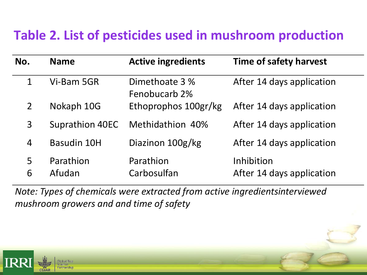## **Table 2. List of pesticides used in mushroom production**

| No.            | <b>Name</b>            | <b>Active ingredients</b>       | <b>Time of safety harvest</b>           |
|----------------|------------------------|---------------------------------|-----------------------------------------|
| 1              | Vi-Bam 5GR             | Dimethoate 3 %<br>Fenobucarb 2% | After 14 days application               |
| $\overline{2}$ | Nokaph 10G             | Ethoprophos 100gr/kg            | After 14 days application               |
| 3              | <b>Suprathion 40EC</b> | Methidathion 40%                | After 14 days application               |
| 4              | <b>Basudin 10H</b>     | Diazinon 100g/kg                | After 14 days application               |
| 5<br>6         | Parathion<br>Afudan    | Parathion<br>Carbosulfan        | Inhibition<br>After 14 days application |

*Note: Types of chemicals were extracted from active ingredientsinterviewed mushroom growers and and time of safety*

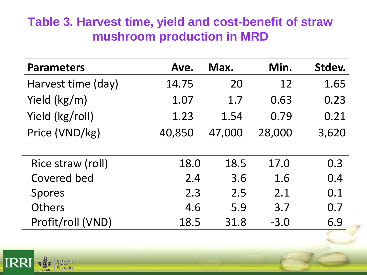#### **Table 3. Harvest time, yield and cost-benefit of straw mushroom production in MRD**

| <b>Parameters</b>  | Ave.   | Max.   | Min.   | Stdev. |
|--------------------|--------|--------|--------|--------|
| Harvest time (day) | 14.75  | 20     | 12     | 1.65   |
| Yield (kg/m)       | 1.07   | 1.7    | 0.63   | 0.23   |
| Yield (kg/roll)    | 1.23   | 1.54   | 0.79   | 0.21   |
| Price (VND/kg)     | 40,850 | 47,000 | 28,000 | 3,620  |
|                    |        |        |        |        |
| Rice straw (roll)  | 18.0   | 18.5   | 17.0   | 0.3    |
| <b>Covered bed</b> | 2.4    | 3.6    | 1.6    | 0.4    |
| <b>Spores</b>      | 2.3    | 2.5    | 2.1    | 0.1    |
| Others             | 4.6    | 5.9    | 3.7    | 0.7    |
| Profit/roll (VND)  | 18.5   | 31.8   | $-3.0$ | 6.9    |

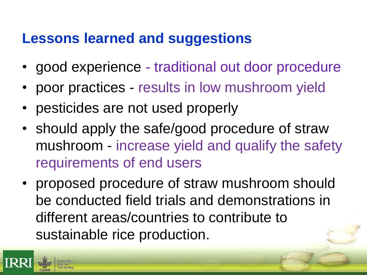## **Lessons learned and suggestions**

- good experience traditional out door procedure
- poor practices results in low mushroom yield
- pesticides are not used properly
- should apply the safe/good procedure of straw mushroom - increase yield and qualify the safety requirements of end users
- proposed procedure of straw mushroom should be conducted field trials and demonstrations in different areas/countries to contribute to sustainable rice production.